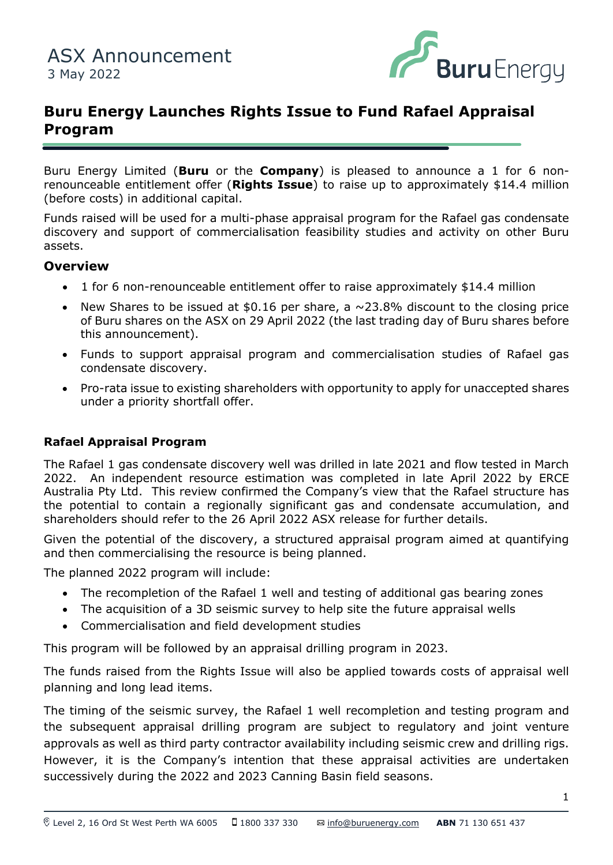

# **Buru Energy Launches Rights Issue to Fund Rafael Appraisal Program**

Buru Energy Limited (**Buru** or the **Company**) is pleased to announce a 1 for 6 nonrenounceable entitlement offer (**Rights Issue**) to raise up to approximately \$14.4 million (before costs) in additional capital.

discovery and support of commercialisation feasibility studies and activity on other Buru Funds raised will be used for a multi-phase appraisal program for the Rafael gas condensate assets.

#### **Overview**

- 1 for 6 non-renounceable entitlement offer to raise approximately \$14.4 million
- New Shares to be issued at \$0.16 per share, a  $\sim$ 23.8% discount to the closing price of Buru shares on the ASX on 29 April 2022 (the last trading day of Buru shares before this announcement).
- Funds to support appraisal program and commercialisation studies of Rafael gas condensate discovery.
- Pro-rata issue to existing shareholders with opportunity to apply for unaccepted shares under a priority shortfall offer.

#### **Rafael Appraisal Program**

The Rafael 1 gas condensate discovery well was drilled in late 2021 and flow tested in March 2022. An independent resource estimation was completed in late April 2022 by ERCE Australia Pty Ltd. This review confirmed the Company's view that the Rafael structure has the potential to contain a regionally significant gas and condensate accumulation, and shareholders should refer to the 26 April 2022 ASX release for further details.

Given the potential of the discovery, a structured appraisal program aimed at quantifying and then commercialising the resource is being planned.

The planned 2022 program will include:

- The recompletion of the Rafael 1 well and testing of additional gas bearing zones
- The acquisition of a 3D seismic survey to help site the future appraisal wells
- Commercialisation and field development studies

This program will be followed by an appraisal drilling program in 2023.

The funds raised from the Rights Issue will also be applied towards costs of appraisal well planning and long lead items.

The timing of the seismic survey, the Rafael 1 well recompletion and testing program and the subsequent appraisal drilling program are subject to regulatory and joint venture approvals as well as third party contractor availability including seismic crew and drilling rigs. However, it is the Company's intention that these appraisal activities are undertaken successively during the 2022 and 2023 Canning Basin field seasons.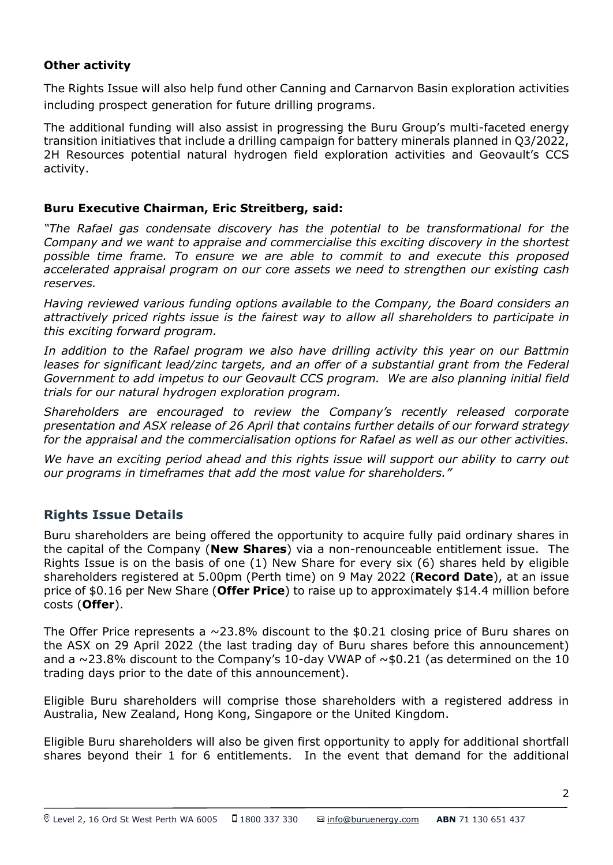## **Other activity**

The Rights Issue will also help fund other Canning and Carnarvon Basin exploration activities including prospect generation for future drilling programs.

The additional funding will also assist in progressing the Buru Group's multi-faceted energy transition initiatives that include a drilling campaign for battery minerals planned in Q3/2022, 2H Resources potential natural hydrogen field exploration activities and Geovault's CCS activity.

#### **Buru Executive Chairman, Eric Streitberg, said:**

*"The Rafael gas condensate discovery has the potential to be transformational for the Company and we want to appraise and commercialise this exciting discovery in the shortest possible time frame. To ensure we are able to commit to and execute this proposed accelerated appraisal program on our core assets we need to strengthen our existing cash reserves.* 

*Having reviewed various funding options available to the Company, the Board considers an attractively priced rights issue is the fairest way to allow all shareholders to participate in this exciting forward program.*

*In addition to the Rafael program we also have drilling activity this year on our Battmin leases for significant lead/zinc targets, and an offer of a substantial grant from the Federal Government to add impetus to our Geovault CCS program. We are also planning initial field trials for our natural hydrogen exploration program.* 

*Shareholders are encouraged to review the Company's recently released corporate presentation and ASX release of 26 April that contains further details of our forward strategy for the appraisal and the commercialisation options for Rafael as well as our other activities.*

*We have an exciting period ahead and this rights issue will support our ability to carry out our programs in timeframes that add the most value for shareholders."*

## **Rights Issue Details**

Buru shareholders are being offered the opportunity to acquire fully paid ordinary shares in the capital of the Company (**New Shares**) via a non-renounceable entitlement issue. The Rights Issue is on the basis of one (1) New Share for every six (6) shares held by eligible shareholders registered at 5.00pm (Perth time) on 9 May 2022 (**Record Date**), at an issue price of \$0.16 per New Share (**Offer Price**) to raise up to approximately \$14.4 million before costs (**Offer**).

The Offer Price represents a  $\sim$ 23.8% discount to the \$0.21 closing price of Buru shares on the ASX on 29 April 2022 (the last trading day of Buru shares before this announcement) and a  $\sim$ 23.8% discount to the Company's 10-day VWAP of  $\sim$ \$0.21 (as determined on the 10 trading days prior to the date of this announcement).

Eligible Buru shareholders will comprise those shareholders with a registered address in Australia, New Zealand, Hong Kong, Singapore or the United Kingdom.

Eligible Buru shareholders will also be given first opportunity to apply for additional shortfall shares beyond their 1 for 6 entitlements. In the event that demand for the additional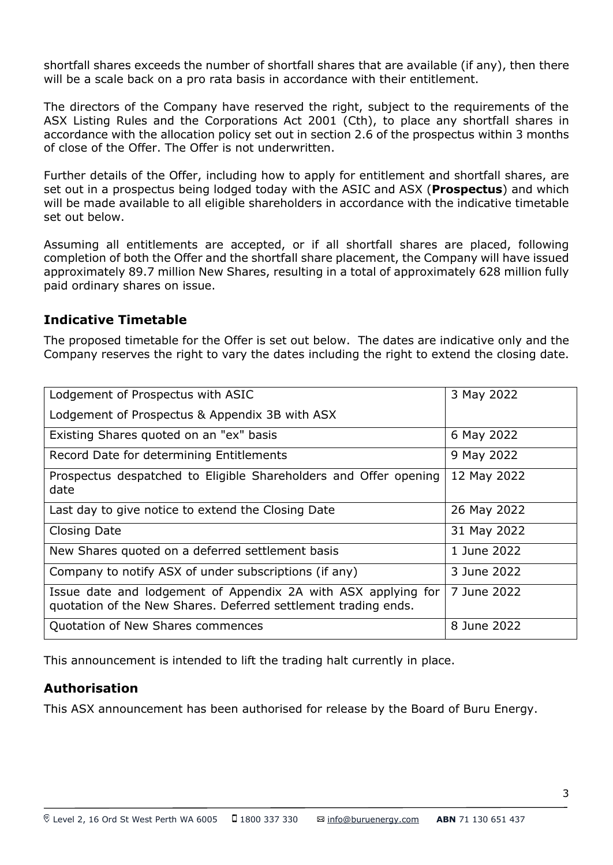shortfall shares exceeds the number of shortfall shares that are available (if any), then there will be a scale back on a pro rata basis in accordance with their entitlement.

The directors of the Company have reserved the right, subject to the requirements of the ASX Listing Rules and the Corporations Act 2001 (Cth), to place any shortfall shares in accordance with the allocation policy set out in section 2.6 of the prospectus within 3 months of close of the Offer. The Offer is not underwritten.

Further details of the Offer, including how to apply for entitlement and shortfall shares, are set out in a prospectus being lodged today with the ASIC and ASX (**Prospectus**) and which will be made available to all eligible shareholders in accordance with the indicative timetable set out below.

Assuming all entitlements are accepted, or if all shortfall shares are placed, following completion of both the Offer and the shortfall share placement, the Company will have issued approximately 89.7 million New Shares, resulting in a total of approximately 628 million fully paid ordinary shares on issue.

## **Indicative Timetable**

The proposed timetable for the Offer is set out below. The dates are indicative only and the Company reserves the right to vary the dates including the right to extend the closing date.

| Lodgement of Prospectus with ASIC                                                                                               | 3 May 2022  |
|---------------------------------------------------------------------------------------------------------------------------------|-------------|
| Lodgement of Prospectus & Appendix 3B with ASX                                                                                  |             |
| Existing Shares quoted on an "ex" basis                                                                                         | 6 May 2022  |
| Record Date for determining Entitlements                                                                                        | 9 May 2022  |
| Prospectus despatched to Eligible Shareholders and Offer opening<br>date                                                        | 12 May 2022 |
| Last day to give notice to extend the Closing Date                                                                              | 26 May 2022 |
| <b>Closing Date</b>                                                                                                             | 31 May 2022 |
| New Shares quoted on a deferred settlement basis                                                                                | 1 June 2022 |
| Company to notify ASX of under subscriptions (if any)                                                                           | 3 June 2022 |
| Issue date and lodgement of Appendix 2A with ASX applying for<br>quotation of the New Shares. Deferred settlement trading ends. | 7 June 2022 |
| Quotation of New Shares commences                                                                                               | 8 June 2022 |

This announcement is intended to lift the trading halt currently in place.

## **Authorisation**

This ASX announcement has been authorised for release by the Board of Buru Energy.